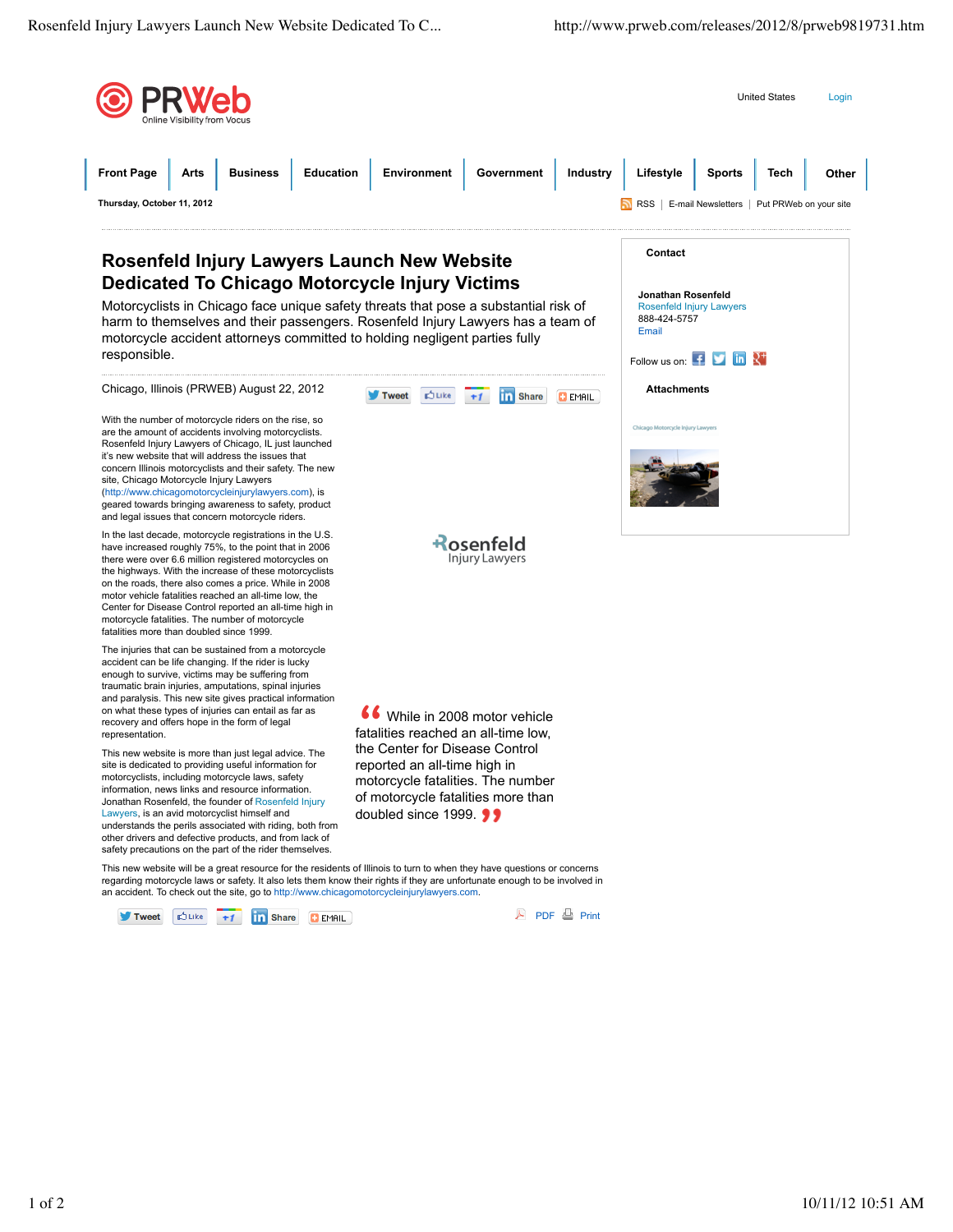